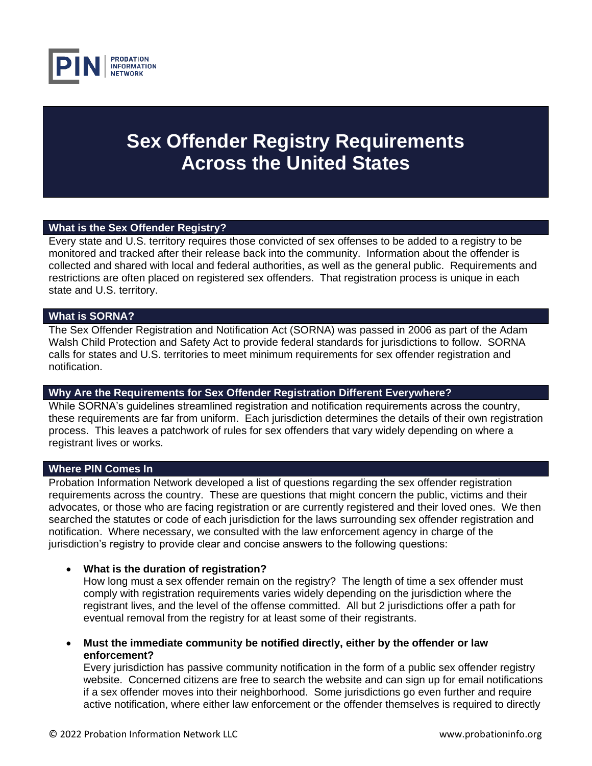

# **Sex Offender Registry Requirements Across the United States**

### **What is the Sex Offender Registry?**

Every state and U.S. territory requires those convicted of sex offenses to be added to a registry to be monitored and tracked after their release back into the community. Information about the offender is collected and shared with local and federal authorities, as well as the general public. Requirements and restrictions are often placed on registered sex offenders. That registration process is unique in each state and U.S. territory.

### **What is SORNA?**

The Sex Offender Registration and Notification Act (SORNA) was passed in 2006 as part of the Adam Walsh Child Protection and Safety Act to provide federal standards for jurisdictions to follow. SORNA calls for states and U.S. territories to meet minimum requirements for sex offender registration and notification.

### **Why Are the Requirements for Sex Offender Registration Different Everywhere?**

While SORNA's guidelines streamlined registration and notification requirements across the country, these requirements are far from uniform. Each jurisdiction determines the details of their own registration process. This leaves a patchwork of rules for sex offenders that vary widely depending on where a registrant lives or works.

### **Where PIN Comes In**

Probation Information Network developed a list of questions regarding the sex offender registration requirements across the country. These are questions that might concern the public, victims and their advocates, or those who are facing registration or are currently registered and their loved ones. We then searched the statutes or code of each jurisdiction for the laws surrounding sex offender registration and notification. Where necessary, we consulted with the law enforcement agency in charge of the jurisdiction's registry to provide clear and concise answers to the following questions:

### • **What is the duration of registration?**

How long must a sex offender remain on the registry? The length of time a sex offender must comply with registration requirements varies widely depending on the jurisdiction where the registrant lives, and the level of the offense committed. All but 2 jurisdictions offer a path for eventual removal from the registry for at least some of their registrants.

• **Must the immediate community be notified directly, either by the offender or law enforcement?**

Every jurisdiction has passive community notification in the form of a public sex offender registry website. Concerned citizens are free to search the website and can sign up for email notifications if a sex offender moves into their neighborhood. Some jurisdictions go even further and require active notification, where either law enforcement or the offender themselves is required to directly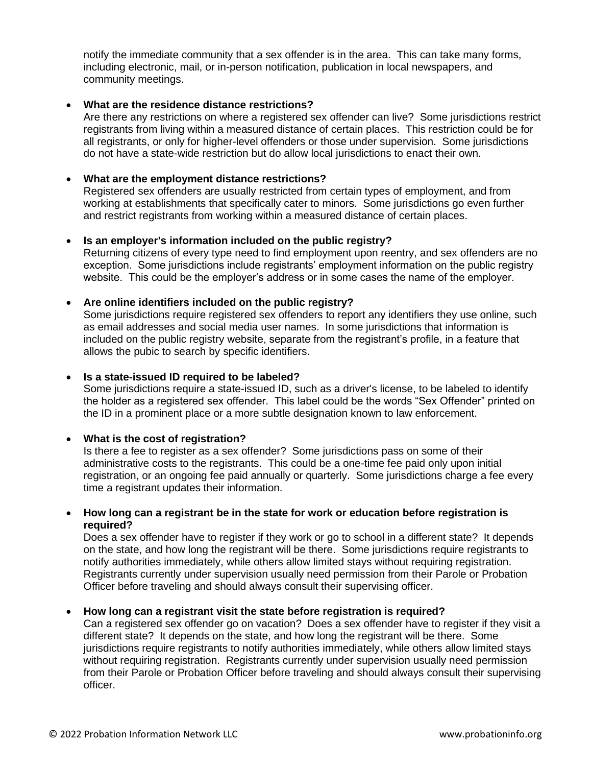notify the immediate community that a sex offender is in the area. This can take many forms, including electronic, mail, or in-person notification, publication in local newspapers, and community meetings.

### • **What are the residence distance restrictions?**

Are there any restrictions on where a registered sex offender can live? Some jurisdictions restrict registrants from living within a measured distance of certain places. This restriction could be for all registrants, or only for higher-level offenders or those under supervision. Some jurisdictions do not have a state-wide restriction but do allow local jurisdictions to enact their own.

### • **What are the employment distance restrictions?**

Registered sex offenders are usually restricted from certain types of employment, and from working at establishments that specifically cater to minors. Some jurisdictions go even further and restrict registrants from working within a measured distance of certain places.

### • **Is an employer's information included on the public registry?**

Returning citizens of every type need to find employment upon reentry, and sex offenders are no exception. Some jurisdictions include registrants' employment information on the public registry website. This could be the employer's address or in some cases the name of the employer.

### • **Are online identifiers included on the public registry?**

Some jurisdictions require registered sex offenders to report any identifiers they use online, such as email addresses and social media user names. In some jurisdictions that information is included on the public registry website, separate from the registrant's profile, in a feature that allows the pubic to search by specific identifiers.

#### • **Is a state-issued ID required to be labeled?**

Some jurisdictions require a state-issued ID, such as a driver's license, to be labeled to identify the holder as a registered sex offender. This label could be the words "Sex Offender" printed on the ID in a prominent place or a more subtle designation known to law enforcement.

### • **What is the cost of registration?**

Is there a fee to register as a sex offender? Some jurisdictions pass on some of their administrative costs to the registrants. This could be a one-time fee paid only upon initial registration, or an ongoing fee paid annually or quarterly. Some jurisdictions charge a fee every time a registrant updates their information.

### • **How long can a registrant be in the state for work or education before registration is required?**

Does a sex offender have to register if they work or go to school in a different state? It depends on the state, and how long the registrant will be there. Some jurisdictions require registrants to notify authorities immediately, while others allow limited stays without requiring registration. Registrants currently under supervision usually need permission from their Parole or Probation Officer before traveling and should always consult their supervising officer.

### • **How long can a registrant visit the state before registration is required?**

Can a registered sex offender go on vacation? Does a sex offender have to register if they visit a different state? It depends on the state, and how long the registrant will be there. Some jurisdictions require registrants to notify authorities immediately, while others allow limited stays without requiring registration. Registrants currently under supervision usually need permission from their Parole or Probation Officer before traveling and should always consult their supervising officer.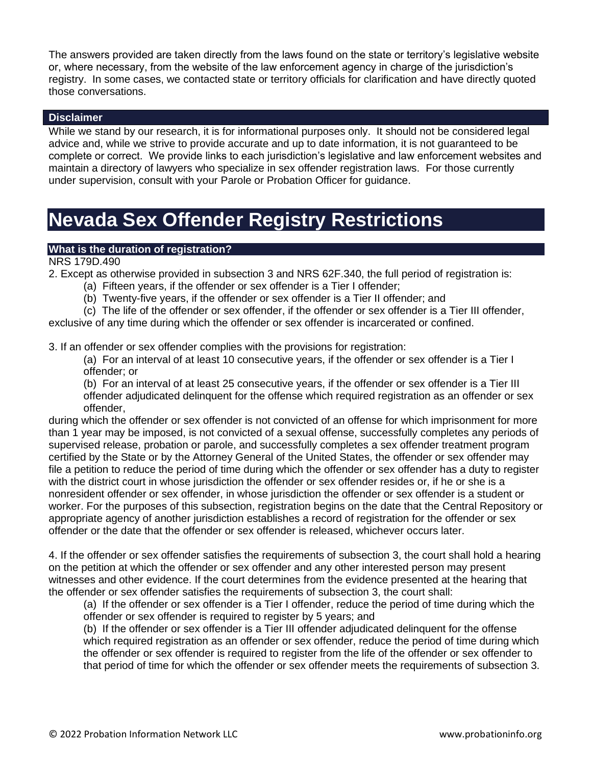The answers provided are taken directly from the laws found on the state or territory's legislative website or, where necessary, from the website of the law enforcement agency in charge of the jurisdiction's registry. In some cases, we contacted state or territory officials for clarification and have directly quoted those conversations.

### **Disclaimer**

While we stand by our research, it is for informational purposes only. It should not be considered legal advice and, while we strive to provide accurate and up to date information, it is not guaranteed to be complete or correct. We provide links to each jurisdiction's legislative and law enforcement websites and maintain a directory of lawyers who specialize in sex offender registration laws. For those currently under supervision, consult with your Parole or Probation Officer for guidance.

# **Nevada Sex Offender Registry Restrictions**

### **What is the duration of registration?**

NRS 179D.490

2. Except as otherwise provided in subsection 3 and NRS 62F.340, the full period of registration is:

- (a) Fifteen years, if the offender or sex offender is a Tier I offender;
- (b) Twenty-five years, if the offender or sex offender is a Tier II offender; and

(c) The life of the offender or sex offender, if the offender or sex offender is a Tier III offender,

exclusive of any time during which the offender or sex offender is incarcerated or confined.

3. If an offender or sex offender complies with the provisions for registration:

(a) For an interval of at least 10 consecutive years, if the offender or sex offender is a Tier I offender; or

(b) For an interval of at least 25 consecutive years, if the offender or sex offender is a Tier III offender adjudicated delinquent for the offense which required registration as an offender or sex offender,

during which the offender or sex offender is not convicted of an offense for which imprisonment for more than 1 year may be imposed, is not convicted of a sexual offense, successfully completes any periods of supervised release, probation or parole, and successfully completes a sex offender treatment program certified by the State or by the Attorney General of the United States, the offender or sex offender may file a petition to reduce the period of time during which the offender or sex offender has a duty to register with the district court in whose jurisdiction the offender or sex offender resides or, if he or she is a nonresident offender or sex offender, in whose jurisdiction the offender or sex offender is a student or worker. For the purposes of this subsection, registration begins on the date that the Central Repository or appropriate agency of another jurisdiction establishes a record of registration for the offender or sex offender or the date that the offender or sex offender is released, whichever occurs later.

4. If the offender or sex offender satisfies the requirements of subsection 3, the court shall hold a hearing on the petition at which the offender or sex offender and any other interested person may present witnesses and other evidence. If the court determines from the evidence presented at the hearing that the offender or sex offender satisfies the requirements of subsection 3, the court shall:

(a) If the offender or sex offender is a Tier I offender, reduce the period of time during which the offender or sex offender is required to register by 5 years; and

(b) If the offender or sex offender is a Tier III offender adjudicated delinquent for the offense which required registration as an offender or sex offender, reduce the period of time during which the offender or sex offender is required to register from the life of the offender or sex offender to that period of time for which the offender or sex offender meets the requirements of subsection 3.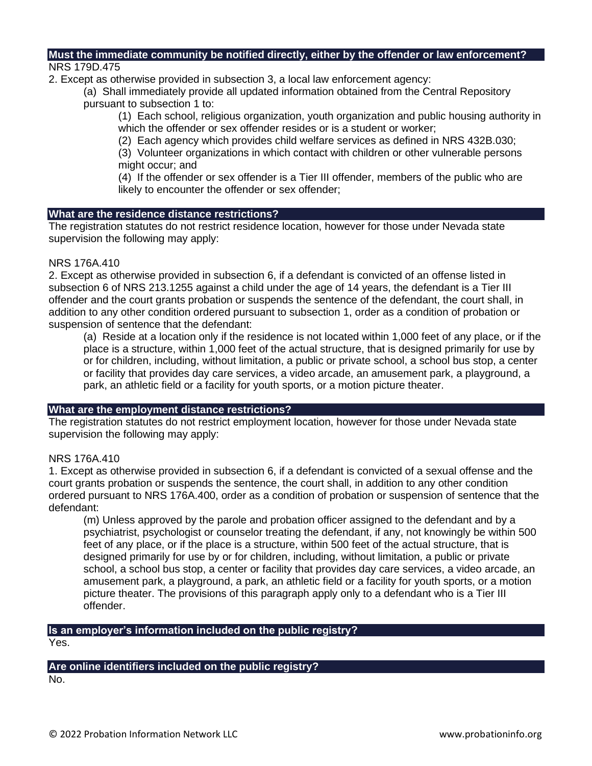#### **Must the immediate community be notified directly, either by the offender or law enforcement?** NRS 179D.475

2. Except as otherwise provided in subsection 3, a local law enforcement agency:

(a) Shall immediately provide all updated information obtained from the Central Repository pursuant to subsection 1 to:

(1) Each school, religious organization, youth organization and public housing authority in which the offender or sex offender resides or is a student or worker;

(2) Each agency which provides child welfare services as defined in NRS 432B.030;

(3) Volunteer organizations in which contact with children or other vulnerable persons might occur; and

(4) If the offender or sex offender is a Tier III offender, members of the public who are likely to encounter the offender or sex offender;

### **What are the residence distance restrictions?**

The registration statutes do not restrict residence location, however for those under Nevada state supervision the following may apply:

### NRS 176A.410

2. Except as otherwise provided in subsection 6, if a defendant is convicted of an offense listed in subsection 6 of NRS 213.1255 against a child under the age of 14 years, the defendant is a Tier III offender and the court grants probation or suspends the sentence of the defendant, the court shall, in addition to any other condition ordered pursuant to subsection 1, order as a condition of probation or suspension of sentence that the defendant:

(a) Reside at a location only if the residence is not located within 1,000 feet of any place, or if the place is a structure, within 1,000 feet of the actual structure, that is designed primarily for use by or for children, including, without limitation, a public or private school, a school bus stop, a center or facility that provides day care services, a video arcade, an amusement park, a playground, a park, an athletic field or a facility for youth sports, or a motion picture theater.

### **What are the employment distance restrictions?**

The registration statutes do not restrict employment location, however for those under Nevada state supervision the following may apply:

### NRS 176A.410

1. Except as otherwise provided in subsection 6, if a defendant is convicted of a sexual offense and the court grants probation or suspends the sentence, the court shall, in addition to any other condition ordered pursuant to NRS 176A.400, order as a condition of probation or suspension of sentence that the defendant:

(m) Unless approved by the parole and probation officer assigned to the defendant and by a psychiatrist, psychologist or counselor treating the defendant, if any, not knowingly be within 500 feet of any place, or if the place is a structure, within 500 feet of the actual structure, that is designed primarily for use by or for children, including, without limitation, a public or private school, a school bus stop, a center or facility that provides day care services, a video arcade, an amusement park, a playground, a park, an athletic field or a facility for youth sports, or a motion picture theater. The provisions of this paragraph apply only to a defendant who is a Tier III offender.

## **Is an employer's information included on the public registry?**

Yes.

### **Are online identifiers included on the public registry?**

No.